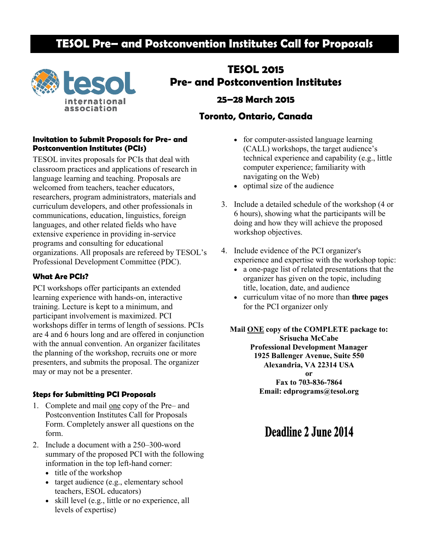## **TESOL Pre– and Postconvention Institutes Call for Proposals**



# **TESOL 2015 Pre- and Postconvention Institutes 25–28 March 2015**

## **Toronto, Ontario, Canada**

### **Invitation to Submit Proposals for Pre- and Postconvention Institutes (PCIs)**

TESOL invites proposals for PCIs that deal with classroom practices and applications of research in language learning and teaching. Proposals are welcomed from teachers, teacher educators, researchers, program administrators, materials and curriculum developers, and other professionals in communications, education, linguistics, foreign languages, and other related fields who have extensive experience in providing in-service programs and consulting for educational organizations. All proposals are refereed by TESOL's Professional Development Committee (PDC).

## **What Are PCIs?**

PCI workshops offer participants an extended learning experience with hands-on, interactive training. Lecture is kept to a minimum, and participant involvement is maximized. PCI workshops differ in terms of length of sessions. PCIs are 4 and 6 hours long and are offered in conjunction with the annual convention. An organizer facilitates the planning of the workshop, recruits one or more presenters, and submits the proposal. The organizer may or may not be a presenter.

## **Steps for Submitting PCI Proposals**

- 1. Complete and mail one copy of the Pre– and Postconvention Institutes Call for Proposals Form. Completely answer all questions on the form.
- 2. Include a document with a 250–300-word summary of the proposed PCI with the following information in the top left-hand corner:
	- title of the workshop
	- target audience (e.g., elementary school teachers, ESOL educators)
	- skill level (e.g., little or no experience, all levels of expertise)
- for computer-assisted language learning (CALL) workshops, the target audience's technical experience and capability (e.g., little computer experience; familiarity with navigating on the Web)
- optimal size of the audience
- 3. Include a detailed schedule of the workshop (4 or 6 hours), showing what the participants will be doing and how they will achieve the proposed workshop objectives.
- 4. Include evidence of the PCI organizer's experience and expertise with the workshop topic:
	- a one-page list of related presentations that the organizer has given on the topic, including title, location, date, and audience
	- curriculum vitae of no more than **three pages**  for the PCI organizer only

**Mail ONE copy of the COMPLETE package to: Srisucha McCabe Professional Development Manager 1925 Ballenger Avenue, Suite 550 Alexandria, VA 22314 USA or Fax to 703-836-7864 Email: edprograms@tesol.org**

# **Deadline 2 June 2014**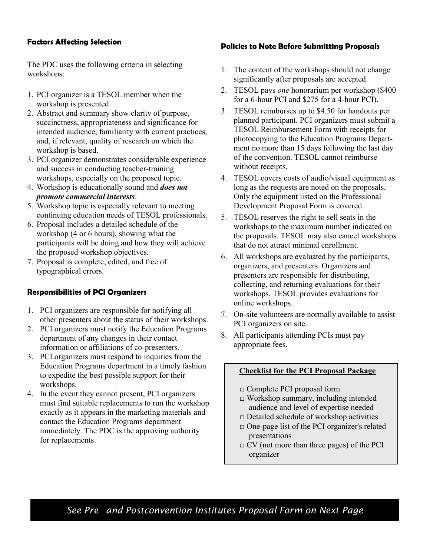## **Factors Affecting Selection**

The PDC uses the following criteria in selecting workshops:

- 1. PCI organizer is a TESOL member when the workshop is presented.
- 2. Abstract and summary show clarity of purpose, succinctness, appropriateness and significance for intended audience, familiarity with current practices, and, if relevant, quality of research on which the workshop is based.
- 3. PCI organizer demonstrates considerable experience and success in conducting teacher-training workshops, especially on the proposed topic.
- 4. Workshop is educationally sound and *does not promote commercial interests*.
- 5. Workshop topic is especially relevant to meeting continuing education needs of TESOL professionals.
- 6. Proposal includes a detailed schedule of the workshop (4 or 6 hours), showing what the participants will be doing and how they will achieve the proposed workshop objectives.
- 7. Proposal is complete, edited, and free of typographical errors.

## **Responsibilities of PCI Organizers**

- 1. PCI organizers are responsible for notifying all other presenters about the status of their workshops.
- 2. PCI organizers must notify the Education Programs department of any changes in their contact information or affiliations of co-presenters.
- 3. PCI organizers must respond to inquiries from the Education Programs department in a timely fashion to expedite the best possible support for their workshops.
- 4. In the event they cannot present, PCI organizers must find suitable replacements to run the workshop exactly as it appears in the marketing materials and contact the Education Programs department immediately. The PDC is the approving authority for replacements.

## **Policies to Note Before Submitting Proposals**

- 1. The content of the workshops should not change significantly after proposals are accepted.
- 2. TESOL pays *one* honorarium per workshop (\$400 for a 6-hour PCI and \$275 for a 4-hour PCI).
- 3. TESOL reimburses up to \$4.50 for handouts per planned participant. PCI organizers must submit a TESOL Reimbursement Form with receipts for photocopying to the Education Programs Department no more than 15 days following the last day of the convention. TESOL cannot reimburse without receipts.
- 4. TESOL covers costs of audio/visual equipment as long as the requests are noted on the proposals. Only the equipment listed on the Professional Development Proposal Form is covered.
- 5. TESOL reserves the right to sell seats in the workshops to the maximum number indicated on the proposals. TESOL may also cancel workshops that do not attract minimal enrollment.
- 6. All workshops are evaluated by the participants, organizers, and presenters. Organizers and presenters are responsible for distributing, collecting, and returning evaluations for their workshops. TESOL provides evaluations for online workshops.
- 7. On-site volunteers are normally available to assist PCI organizers on site.
- 8. All participants attending PCIs must pay appropriate fees.

### **Checklist for the PCI Proposal Package**

- □ Complete PCI proposal form
- $\Box$  Workshop summary, including intended audience and level of expertise needed
- $\Box$  Detailed schedule of workshop activities
- □ One-page list of the PCI organizer's related presentations
- $\Box$  CV (not more than three pages) of the PCI organizer

*See Pre– and Postconvention Institutes Proposal Form on Next Page*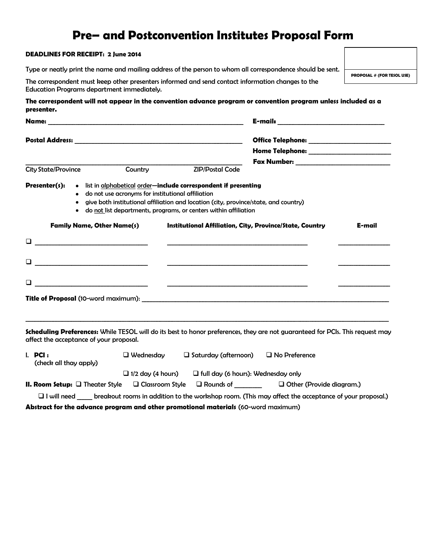## **Pre– and Postconvention Institutes Proposal Form**

#### **DEADLINES FOR RECEIPT: 2 June 2014**

Type or neatly print the name and mailing address of the person to whom all correspondence should be sent.

The correspondent must keep other presenters informed and send contact information changes to the Education Programs department immediately.

**PROPOSAL # (FOR TESOL USE)**

| The correspondent will not appear in the convention advance program or convention program unless included as a |  |
|----------------------------------------------------------------------------------------------------------------|--|
| presenter.                                                                                                     |  |

| Name: $\_\_$               |                     |                                                                                        |                                                                                                                                                                                                                                                                                                  |                                           |        |  |
|----------------------------|---------------------|----------------------------------------------------------------------------------------|--------------------------------------------------------------------------------------------------------------------------------------------------------------------------------------------------------------------------------------------------------------------------------------------------|-------------------------------------------|--------|--|
|                            |                     |                                                                                        |                                                                                                                                                                                                                                                                                                  | Home Telephone: _________________________ |        |  |
| <b>City State/Province</b> |                     | Country                                                                                | <b>ZIP/Postal Code</b>                                                                                                                                                                                                                                                                           |                                           |        |  |
| Presenter(s):              | ٠<br>$\bullet$<br>٠ | do not use acronyms for institutional affiliation<br><b>Family Name, Other Name(s)</b> | • list in alphabetical order— <b>include correspondent if presenting</b><br>give both institutional affiliation and location (city, province/state, and country)<br>do not list departments, programs, or centers within affiliation<br>Institutional Affiliation, City, Province/State, Country |                                           | E-mail |  |
|                            |                     |                                                                                        |                                                                                                                                                                                                                                                                                                  |                                           |        |  |
| ◻                          |                     |                                                                                        |                                                                                                                                                                                                                                                                                                  |                                           |        |  |
|                            |                     |                                                                                        |                                                                                                                                                                                                                                                                                                  |                                           |        |  |
|                            |                     |                                                                                        |                                                                                                                                                                                                                                                                                                  |                                           |        |  |

**Scheduling Preferences:** While TESOL will do its best to honor preferences, they are not guaranteed for PCIs. This request may affect the acceptance of your proposal.

| $I.$ PCI:<br>$\Box$ Wednesday<br>(check all thay apply)                                                                   |                                                                       | $\Box$ Saturday (afternoon) | $\Box$ No Preference            |  |  |  |  |
|---------------------------------------------------------------------------------------------------------------------------|-----------------------------------------------------------------------|-----------------------------|---------------------------------|--|--|--|--|
|                                                                                                                           | $\Box$ full day (6 hours): Wednesday only<br>$\Box$ 1/2 day (4 hours) |                             |                                 |  |  |  |  |
| <b>II. Room Setup:</b> $\Box$ Theater Style                                                                               | □ Classroom Style                                                     | $\square$ Rounds of         | $\Box$ Other (Provide diagram.) |  |  |  |  |
| breakout rooms in addition to the workshop room. (This may affect the acceptance of your proposal.)<br>$\Box$ I will need |                                                                       |                             |                                 |  |  |  |  |

**Abstract for the advance program and other promotional materials** (60-word maximum)